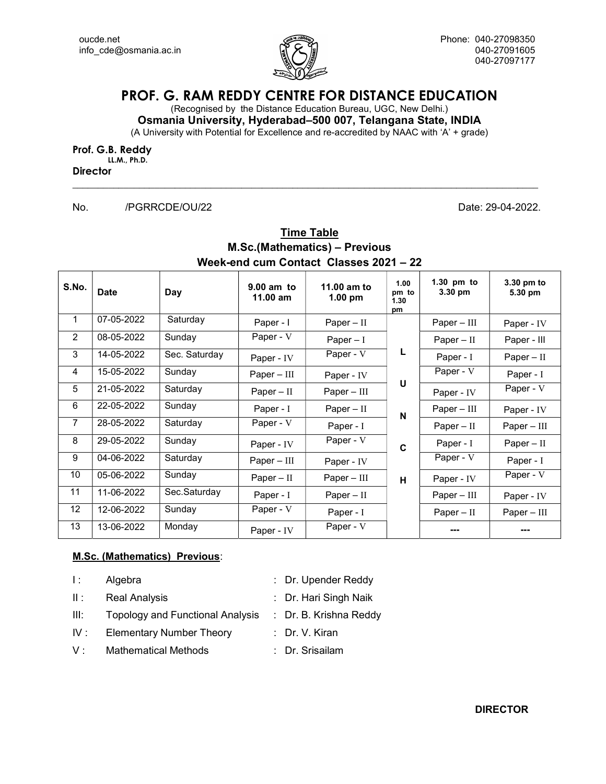

# PROF. G. RAM REDDY CENTRE FOR DISTANCE EDUCATION

(Recognised by the Distance Education Bureau, UGC, New Delhi.)

Osmania University, Hyderabad–500 007, Telangana State, INDIA (A University with Potential for Excellence and re-accredited by NAAC with 'A' + grade)

 $\Box$ 

Prof. G.B. Reddy LL.M., Ph.D.

**Director** 

No. /PGRRCDE/OU/22 Date: 29-04-2022.

### **Time Table** M.Sc.(Mathematics) – Previous Week-end cum Contact Classes 2021 – 22

| S.No.           | <b>Date</b> | Day           | $9.00$ am to<br>$11.00$ am | 11.00 am to<br>1.00 pm | 1.00<br>pm to<br>1.30<br>pm | 1.30 pm to<br>3.30 pm | 3.30 pm to<br>5.30 pm |
|-----------------|-------------|---------------|----------------------------|------------------------|-----------------------------|-----------------------|-----------------------|
| $\mathbf{1}$    | 07-05-2022  | Saturday      | Paper - I                  | $Paper - II$           |                             | $Paper - III$         | Paper - IV            |
| $\overline{2}$  | 08-05-2022  | Sunday        | Paper - V                  | Paper $-1$             |                             | $Paper - II$          | Paper - III           |
| 3               | 14-05-2022  | Sec. Saturday | Paper - IV                 | Paper - V              | L                           | Paper - I             | $Paper - II$          |
| 4               | 15-05-2022  | Sunday        | $Paper - III$              | Paper - IV             |                             | Paper - V             | Paper - I             |
| 5               | 21-05-2022  | Saturday      | Paper $-$ II               | $Paper - III$          | U                           | Paper - IV            | Paper - V             |
| 6               | 22-05-2022  | Sunday        | Paper - I                  | Paper $-$ II           | N                           | $Paper - III$         | Paper - IV            |
| $\overline{7}$  | 28-05-2022  | Saturday      | Paper - V                  | Paper - I              |                             | $Paper - II$          | $Paper - III$         |
| 8               | 29-05-2022  | Sunday        | Paper - IV                 | Paper - V              | C                           | Paper - I             | $Paper - II$          |
| 9               | 04-06-2022  | Saturday      | $Paper - III$              | Paper - IV             |                             | Paper - V             | Paper - I             |
| 10              | 05-06-2022  | Sunday        | $Paper - II$               | $Paper - III$          | H                           | Paper - IV            | Paper - V             |
| 11              | 11-06-2022  | Sec.Saturday  | Paper - I                  | Paper $-$ II           |                             | $Paper - III$         | Paper - IV            |
| 12 <sup>°</sup> | 12-06-2022  | Sunday        | Paper - V                  | Paper - I              |                             | $Paper - II$          | $Paper - III$         |
| 13              | 13-06-2022  | Monday        | Paper - IV                 | Paper - V              |                             |                       |                       |

#### M.Sc. (Mathematics) Previous:

| $\mathbf{E}$ | Algebra                                 | : Dr. Upender Reddy    |
|--------------|-----------------------------------------|------------------------|
| Ш.           | <b>Real Analysis</b>                    | : Dr. Hari Singh Naik  |
| III:         | <b>Topology and Functional Analysis</b> | : Dr. B. Krishna Reddy |
| IV:          | <b>Elementary Number Theory</b>         | : Dr. V. Kiran         |
| $V \cdot$    | <b>Mathematical Methods</b>             | : Dr. Srisailam        |
|              |                                         |                        |